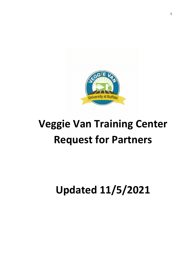

# **Veggie Van Training Center Request for Partners**

## **Updated 11/5/2021**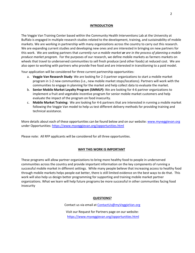#### **INTRODUCTION**

The Veggie Van Training Center based within the Community Health Interventions Lab at the University at Buffalo is engaged in multiple research studies related to the development, training, and sustainability of mobile markets. We are working in partnership with many organizations across the country to carry out this research. We are expanding current studies and developing new ones and are interested in bringing on new partners for this work. We are seeking partners that *currently run a mobile market or are in the process of planning a mobile produce market program.* For the purposes of our research, we define mobile markets as farmers markets on wheels that travel to underserved communities to sell fresh produce (and other foods) at reduced cost. We are also open to working with partners who provide free food and are interested in transitioning to a paid model.

Your application will be considered for three current partnership opportunities:

- a. **Veggie Van Research Study**: We are looking for 2-3 partner organizations to start a mobile market program in 1-2 new communities (i.e., new mobile market stops/locations). Partners will work with the communities to engage in planning for the market and help collect data to evaluate the market.
- b. **Senior Mobile Market Loyalty Program (SMMLP):** We are looking for 4-6 partner organizations to implement a fruit and vegetable incentive program for senior mobile market customers and help evaluate the impact of the program on food insecurity.
- c. **Mobile Market Training:** We are looking for 4-6 partners that are interested in running a mobile market following the Veggie Van model to help us test different delivery methods for providing training and technical assistance.

More details about each of these opportunities can be found below and on our website: [www.myveggievan.org](http://www.myveggievan.org/) under Opportunities:<https://www.myveggievan.org/opportunities.html>

Please note: All RFP applicants will be considered for all three opportunities.

#### **WHY THIS WORK IS IMPORTANT**

These programs will allow partner organizations to bring more healthy food to people in underserved communities across the country and provide important information on the key components of running a successful mobile market in different settings. While many people believe that increasing access to healthy food through mobile markets helps people eat better, there is still limited evidence on the best ways to do that. This work will also help us design better programming for supporting and training mobile market partner organizations. What we learn will help future programs be more successful in other communities facing food insecurity

#### **QUESTIONS?**

Contact us via email at [ContactUs@myVeggieVan.org](mailto:ContactUs@myVeggieVan.org)

Visit our Request for Partners page on our website: <https://www.myveggievan.org/opportunities.html>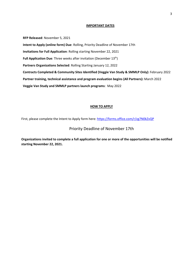#### **IMPORTANT DATES**

**RFP Released**: November 5, 2021 **Intent to Apply (online form) Due**: Rolling, Priority Deadline of November 17th **Invitations for Full Application**: Rolling starting November 22, 2021 **Full Application Due**: Three weeks after invitation (December 13<sup>th</sup>) **Partners Organizations Selected**: Rolling Starting January 12, 2022 **Contracts Completed & Community Sites Identified (Veggie Van Study & SMMLP Only):** February 2022 **Partner training, technical assistance and program evaluation begins (All Partners):** March 2022 **Veggie Van Study and SMMLP partners launch programs**: May 2022

#### **HOW TO APPLY**

First, please complete the Intent to Apply form here: <https://forms.office.com/r/zg7N0kZvQP>

### Priority Deadline of November 17th

**Organizations invited to complete a full application for one or more of the opportunities will be notified starting November 22, 2021.**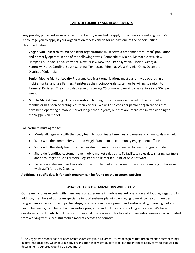#### **PARTNER ELIGIBILITY AND REQUIREMENTS**

Any private, public, religious or government entity is invited to apply. Individuals are not eligible. We encourage you to apply if your organization meets criteria for at least one of the opportunities described below:

- **Veggie Van Research Study:** Applicant organizations must serve a predominantly urban<sup>[1](#page-3-0)</sup> population and primarily operate in one of the following states: Connecticut, Maine, Massachusetts, New Hampshire, Rhode Island, Vermont, New Jersey, New York, Pennsylvania, Florida, Georgia, Kentucky, North Carolina, South Carolina, Tennessee, Virginia, West Virginia, Ohio, Delaware, District of Columbia
- **Senior Mobile Market Loyalty Program**: Applicant organizations must currently be operating a mobile market and use Farmers Register as their point-of-sale system or be willing to switch to Farmers' Register. They must also serve on average 25 or more lower-income seniors (age 50+) per week.
- **Mobile Market Training**: Any organization planning to start a mobile market in the next 6-12 months or has been operating less than 2 years. We will also consider partner organizations that have been operating a mobile market longer than 2 years, but that are interested in transitioning to the Veggie Van model.

#### All partners must agree to:

- Meet/talk regularly with the study team to coordinate timelines and ensure program goals are met.
- Work with the community sites and Veggie Van team on community engagement efforts.
- Work with the study team to collect evaluation measures as needed for each program funder.
- Share de-identified customer-level mobile market sales data. To facilitate sales data sharing, partners are encouraged to use Farmers' Register Mobile Market Point-of-Sale Software.
- Provide updates and feedback about the mobile market program to the study team (e.g., interviews with staff) for up to 2 years.

#### **Additional specific details for each program can be found on the program website:**

#### **WHAT PARTNER ORGANIZATIONS WILL RECEIVE**

Our team includes experts with many years of experience in mobile market operation and food aggregation. In addition, members of our team specialize in food systems planning, engaging lower-income communities, program implementation and partnerships, business plan development and sustainability, changing diet and health behaviors, food benefit and incentive programs, and nutrition and cooking education. We have developed a toolkit which includes resources in all these areas. This toolkit also includes resources accumulated from working with successful mobile markets across the country.

<span id="page-3-0"></span> $1$  The Veggie Van model has not been tested extensively in rural areas. As we recognize that urban means different things in different locations, we encourage any organization that might qualify to fill out the intent to apply form so that we can determine if your area would be a good match.